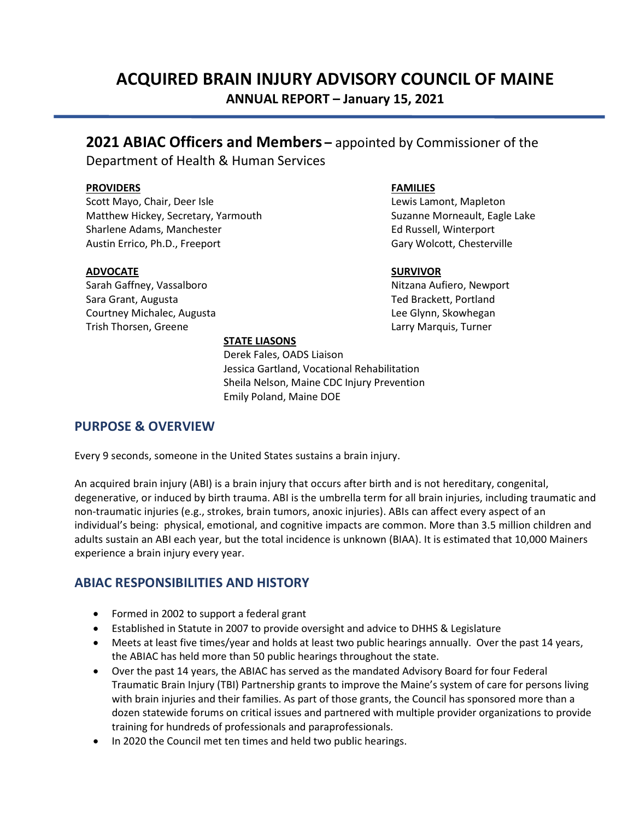# ACQUIRED BRAIN INJURY ADVISORY COUNCIL OF MAINE ANNUAL REPORT – January 15, 2021

## 2021 ABIAC Officers and Members – appointed by Commissioner of the

Department of Health & Human Services

#### **PROVIDERS**

Scott Mayo, Chair, Deer Isle Matthew Hickey, Secretary, Yarmouth Sharlene Adams, Manchester Austin Errico, Ph.D., Freeport

#### ADVOCATE

Sarah Gaffney, Vassalboro Sara Grant, Augusta Courtney Michalec, Augusta Trish Thorsen, Greene

#### FAMILIES

Lewis Lamont, Mapleton Suzanne Morneault, Eagle Lake Ed Russell, Winterport Gary Wolcott, Chesterville

#### SURVIVOR

Nitzana Aufiero, Newport Ted Brackett, Portland Lee Glynn, Skowhegan Larry Marquis, Turner

#### STATE LIASONS

 Derek Fales, OADS Liaison Jessica Gartland, Vocational Rehabilitation Sheila Nelson, Maine CDC Injury Prevention Emily Poland, Maine DOE

### PURPOSE & OVERVIEW

Every 9 seconds, someone in the United States sustains a brain injury.

An acquired brain injury (ABI) is a brain injury that occurs after birth and is not hereditary, congenital, degenerative, or induced by birth trauma. ABI is the umbrella term for all brain injuries, including traumatic and non-traumatic injuries (e.g., strokes, brain tumors, anoxic injuries). ABIs can affect every aspect of an individual's being: physical, emotional, and cognitive impacts are common. More than 3.5 million children and adults sustain an ABI each year, but the total incidence is unknown (BIAA). It is estimated that 10,000 Mainers experience a brain injury every year.

### ABIAC RESPONSIBILITIES AND HISTORY

- Formed in 2002 to support a federal grant
- Established in Statute in 2007 to provide oversight and advice to DHHS & Legislature
- Meets at least five times/year and holds at least two public hearings annually. Over the past 14 years, the ABIAC has held more than 50 public hearings throughout the state.
- Over the past 14 years, the ABIAC has served as the mandated Advisory Board for four Federal Traumatic Brain Injury (TBI) Partnership grants to improve the Maine's system of care for persons living with brain injuries and their families. As part of those grants, the Council has sponsored more than a dozen statewide forums on critical issues and partnered with multiple provider organizations to provide training for hundreds of professionals and paraprofessionals.
- In 2020 the Council met ten times and held two public hearings.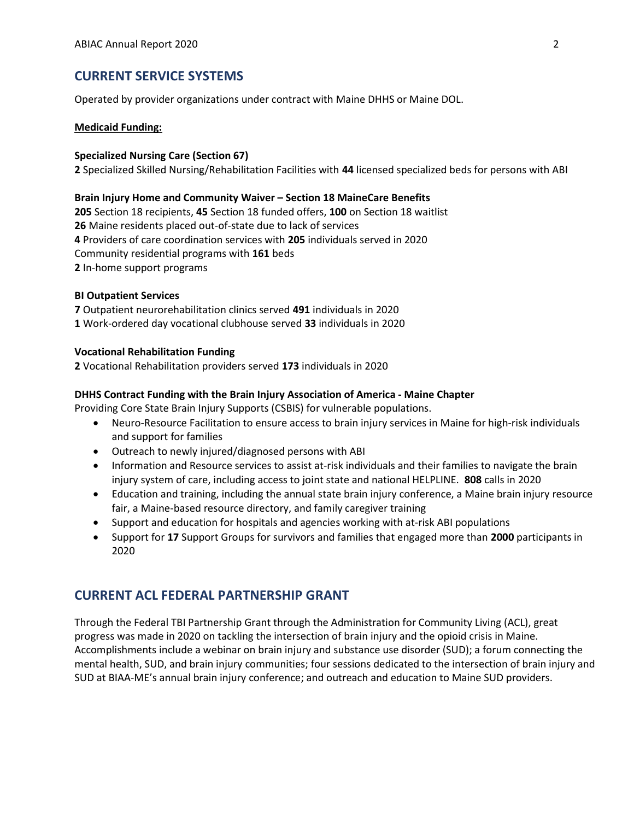### CURRENT SERVICE SYSTEMS

Operated by provider organizations under contract with Maine DHHS or Maine DOL.

#### Medicaid Funding:

#### Specialized Nursing Care (Section 67)

2 Specialized Skilled Nursing/Rehabilitation Facilities with 44 licensed specialized beds for persons with ABI

#### Brain Injury Home and Community Waiver – Section 18 MaineCare Benefits

 Section 18 recipients, 45 Section 18 funded offers, 100 on Section 18 waitlist Maine residents placed out-of-state due to lack of services Providers of care coordination services with 205 individuals served in 2020 Community residential programs with 161 beds In-home support programs

#### BI Outpatient Services

7 Outpatient neurorehabilitation clinics served 491 individuals in 2020 1 Work-ordered day vocational clubhouse served 33 individuals in 2020

#### Vocational Rehabilitation Funding

2 Vocational Rehabilitation providers served 173 individuals in 2020

#### DHHS Contract Funding with the Brain Injury Association of America - Maine Chapter

Providing Core State Brain Injury Supports (CSBIS) for vulnerable populations.

- Neuro-Resource Facilitation to ensure access to brain injury services in Maine for high-risk individuals and support for families
- Outreach to newly injured/diagnosed persons with ABI
- Information and Resource services to assist at-risk individuals and their families to navigate the brain injury system of care, including access to joint state and national HELPLINE. 808 calls in 2020
- Education and training, including the annual state brain injury conference, a Maine brain injury resource fair, a Maine-based resource directory, and family caregiver training
- Support and education for hospitals and agencies working with at-risk ABI populations
- Support for 17 Support Groups for survivors and families that engaged more than 2000 participants in 2020

### CURRENT ACL FEDERAL PARTNERSHIP GRANT

Through the Federal TBI Partnership Grant through the Administration for Community Living (ACL), great progress was made in 2020 on tackling the intersection of brain injury and the opioid crisis in Maine. Accomplishments include a webinar on brain injury and substance use disorder (SUD); a forum connecting the mental health, SUD, and brain injury communities; four sessions dedicated to the intersection of brain injury and SUD at BIAA-ME's annual brain injury conference; and outreach and education to Maine SUD providers.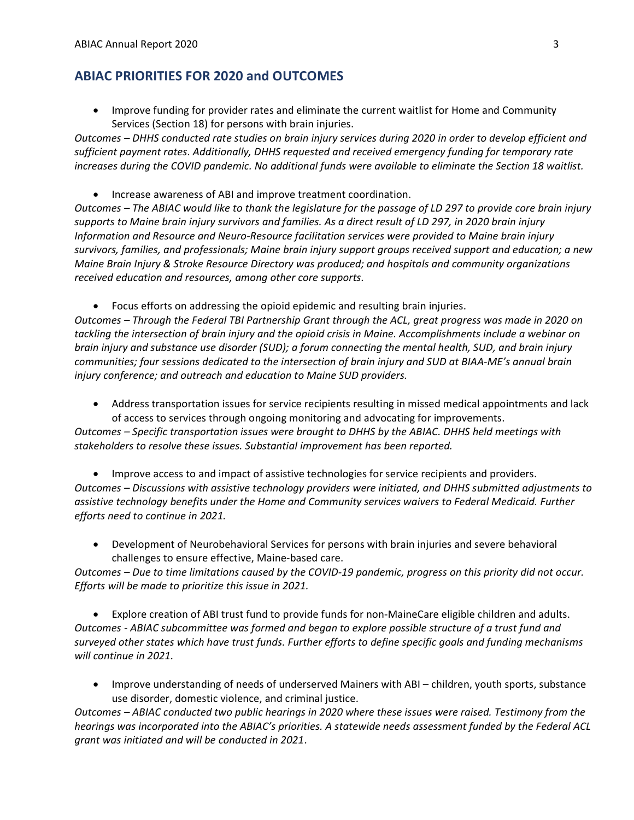### ABIAC PRIORITIES FOR 2020 and OUTCOMES

• Improve funding for provider rates and eliminate the current waitlist for Home and Community Services (Section 18) for persons with brain injuries.

Outcomes – DHHS conducted rate studies on brain injury services during 2020 in order to develop efficient and sufficient payment rates. Additionally, DHHS requested and received emergency funding for temporary rate increases during the COVID pandemic. No additional funds were available to eliminate the Section 18 waitlist.

Increase awareness of ABI and improve treatment coordination.

Outcomes – The ABIAC would like to thank the legislature for the passage of LD 297 to provide core brain injury supports to Maine brain injury survivors and families. As a direct result of LD 297, in 2020 brain injury Information and Resource and Neuro-Resource facilitation services were provided to Maine brain injury survivors, families, and professionals; Maine brain injury support groups received support and education; a new Maine Brain Injury & Stroke Resource Directory was produced; and hospitals and community organizations received education and resources, among other core supports.

Focus efforts on addressing the opioid epidemic and resulting brain injuries.

Outcomes – Through the Federal TBI Partnership Grant through the ACL, great progress was made in 2020 on tackling the intersection of brain injury and the opioid crisis in Maine. Accomplishments include a webinar on brain injury and substance use disorder (SUD); a forum connecting the mental health, SUD, and brain injury communities; four sessions dedicated to the intersection of brain injury and SUD at BIAA-ME's annual brain injury conference; and outreach and education to Maine SUD providers.

 Address transportation issues for service recipients resulting in missed medical appointments and lack of access to services through ongoing monitoring and advocating for improvements.

Outcomes – Specific transportation issues were brought to DHHS by the ABIAC. DHHS held meetings with stakeholders to resolve these issues. Substantial improvement has been reported.

 Improve access to and impact of assistive technologies for service recipients and providers. Outcomes – Discussions with assistive technology providers were initiated, and DHHS submitted adjustments to assistive technology benefits under the Home and Community services waivers to Federal Medicaid. Further efforts need to continue in 2021.

 Development of Neurobehavioral Services for persons with brain injuries and severe behavioral challenges to ensure effective, Maine-based care.

Outcomes – Due to time limitations caused by the COVID-19 pandemic, progress on this priority did not occur. Efforts will be made to prioritize this issue in 2021.

 Explore creation of ABI trust fund to provide funds for non-MaineCare eligible children and adults. Outcomes - ABIAC subcommittee was formed and began to explore possible structure of a trust fund and surveyed other states which have trust funds. Further efforts to define specific goals and funding mechanisms will continue in 2021.

• Improve understanding of needs of underserved Mainers with ABI – children, youth sports, substance use disorder, domestic violence, and criminal justice.

Outcomes – ABIAC conducted two public hearings in 2020 where these issues were raised. Testimony from the hearings was incorporated into the ABIAC's priorities. A statewide needs assessment funded by the Federal ACL grant was initiated and will be conducted in 2021.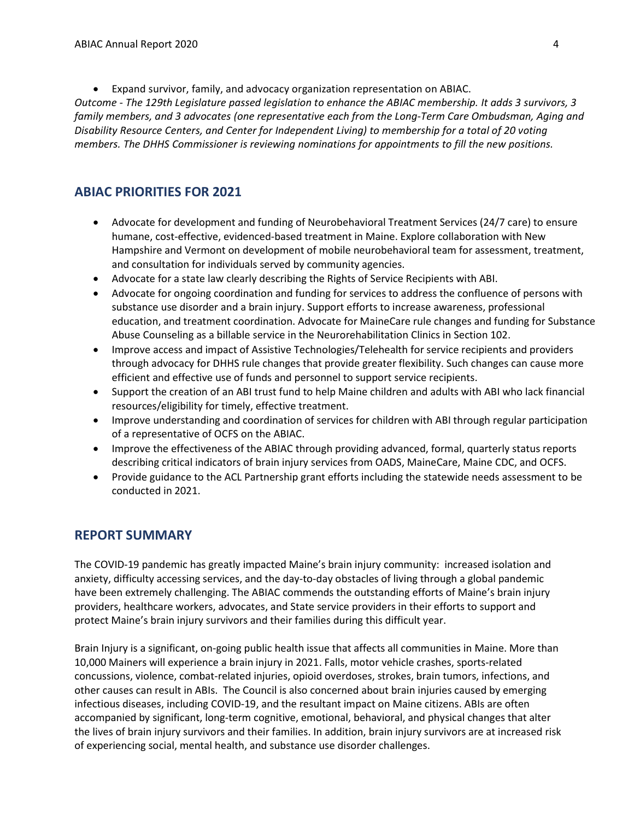Expand survivor, family, and advocacy organization representation on ABIAC.

Outcome - The 129th Legislature passed legislation to enhance the ABIAC membership. It adds 3 survivors, 3 family members, and 3 advocates (one representative each from the Long-Term Care Ombudsman, Aging and Disability Resource Centers, and Center for Independent Living) to membership for a total of 20 voting members. The DHHS Commissioner is reviewing nominations for appointments to fill the new positions.

### ABIAC PRIORITIES FOR 2021

- Advocate for development and funding of Neurobehavioral Treatment Services (24/7 care) to ensure humane, cost-effective, evidenced-based treatment in Maine. Explore collaboration with New Hampshire and Vermont on development of mobile neurobehavioral team for assessment, treatment, and consultation for individuals served by community agencies.
- Advocate for a state law clearly describing the Rights of Service Recipients with ABI.
- Advocate for ongoing coordination and funding for services to address the confluence of persons with substance use disorder and a brain injury. Support efforts to increase awareness, professional education, and treatment coordination. Advocate for MaineCare rule changes and funding for Substance Abuse Counseling as a billable service in the Neurorehabilitation Clinics in Section 102.
- Improve access and impact of Assistive Technologies/Telehealth for service recipients and providers through advocacy for DHHS rule changes that provide greater flexibility. Such changes can cause more efficient and effective use of funds and personnel to support service recipients.
- Support the creation of an ABI trust fund to help Maine children and adults with ABI who lack financial resources/eligibility for timely, effective treatment.
- Improve understanding and coordination of services for children with ABI through regular participation of a representative of OCFS on the ABIAC.
- Improve the effectiveness of the ABIAC through providing advanced, formal, quarterly status reports describing critical indicators of brain injury services from OADS, MaineCare, Maine CDC, and OCFS.
- Provide guidance to the ACL Partnership grant efforts including the statewide needs assessment to be conducted in 2021.

### REPORT SUMMARY

The COVID-19 pandemic has greatly impacted Maine's brain injury community: increased isolation and anxiety, difficulty accessing services, and the day-to-day obstacles of living through a global pandemic have been extremely challenging. The ABIAC commends the outstanding efforts of Maine's brain injury providers, healthcare workers, advocates, and State service providers in their efforts to support and protect Maine's brain injury survivors and their families during this difficult year.

Brain Injury is a significant, on-going public health issue that affects all communities in Maine. More than 10,000 Mainers will experience a brain injury in 2021. Falls, motor vehicle crashes, sports-related concussions, violence, combat-related injuries, opioid overdoses, strokes, brain tumors, infections, and other causes can result in ABIs. The Council is also concerned about brain injuries caused by emerging infectious diseases, including COVID-19, and the resultant impact on Maine citizens. ABIs are often accompanied by significant, long-term cognitive, emotional, behavioral, and physical changes that alter the lives of brain injury survivors and their families. In addition, brain injury survivors are at increased risk of experiencing social, mental health, and substance use disorder challenges.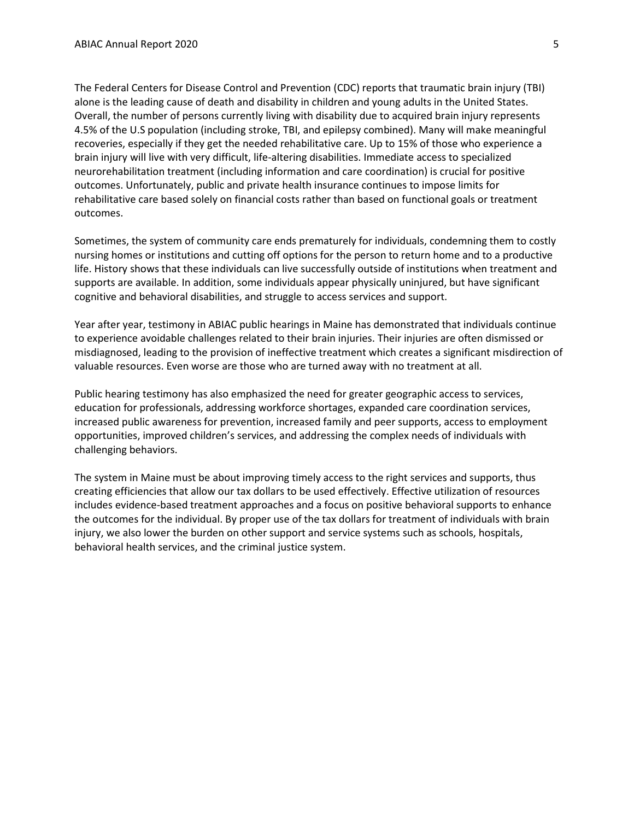The Federal Centers for Disease Control and Prevention (CDC) reports that traumatic brain injury (TBI) alone is the leading cause of death and disability in children and young adults in the United States. Overall, the number of persons currently living with disability due to acquired brain injury represents 4.5% of the U.S population (including stroke, TBI, and epilepsy combined). Many will make meaningful recoveries, especially if they get the needed rehabilitative care. Up to 15% of those who experience a brain injury will live with very difficult, life-altering disabilities. Immediate access to specialized neurorehabilitation treatment (including information and care coordination) is crucial for positive outcomes. Unfortunately, public and private health insurance continues to impose limits for rehabilitative care based solely on financial costs rather than based on functional goals or treatment outcomes.

Sometimes, the system of community care ends prematurely for individuals, condemning them to costly nursing homes or institutions and cutting off options for the person to return home and to a productive life. History shows that these individuals can live successfully outside of institutions when treatment and supports are available. In addition, some individuals appear physically uninjured, but have significant cognitive and behavioral disabilities, and struggle to access services and support.

Year after year, testimony in ABIAC public hearings in Maine has demonstrated that individuals continue to experience avoidable challenges related to their brain injuries. Their injuries are often dismissed or misdiagnosed, leading to the provision of ineffective treatment which creates a significant misdirection of valuable resources. Even worse are those who are turned away with no treatment at all.

Public hearing testimony has also emphasized the need for greater geographic access to services, education for professionals, addressing workforce shortages, expanded care coordination services, increased public awareness for prevention, increased family and peer supports, access to employment opportunities, improved children's services, and addressing the complex needs of individuals with challenging behaviors.

The system in Maine must be about improving timely access to the right services and supports, thus creating efficiencies that allow our tax dollars to be used effectively. Effective utilization of resources includes evidence-based treatment approaches and a focus on positive behavioral supports to enhance the outcomes for the individual. By proper use of the tax dollars for treatment of individuals with brain injury, we also lower the burden on other support and service systems such as schools, hospitals, behavioral health services, and the criminal justice system.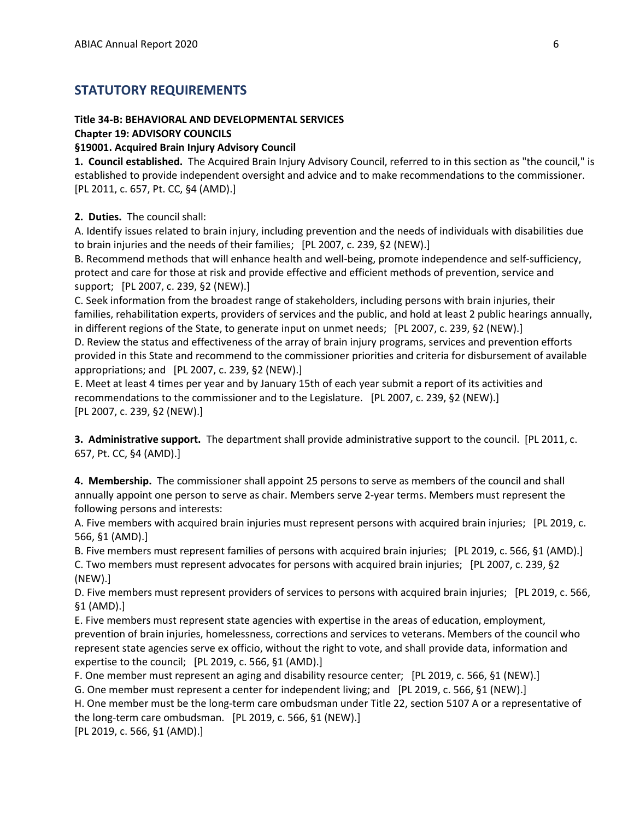### STATUTORY REQUIREMENTS

#### Title 34-B: BEHAVIORAL AND DEVELOPMENTAL SERVICES

#### Chapter 19: ADVISORY COUNCILS

#### §19001. Acquired Brain Injury Advisory Council

1. Council established. The Acquired Brain Injury Advisory Council, referred to in this section as "the council," is established to provide independent oversight and advice and to make recommendations to the commissioner. [PL 2011, c. 657, Pt. CC, §4 (AMD).]

#### 2. Duties. The council shall:

A. Identify issues related to brain injury, including prevention and the needs of individuals with disabilities due to brain injuries and the needs of their families; [PL 2007, c. 239, §2 (NEW).]

B. Recommend methods that will enhance health and well-being, promote independence and self-sufficiency, protect and care for those at risk and provide effective and efficient methods of prevention, service and support; [PL 2007, c. 239, §2 (NEW).]

C. Seek information from the broadest range of stakeholders, including persons with brain injuries, their families, rehabilitation experts, providers of services and the public, and hold at least 2 public hearings annually, in different regions of the State, to generate input on unmet needs; [PL 2007, c. 239, §2 (NEW).]

D. Review the status and effectiveness of the array of brain injury programs, services and prevention efforts provided in this State and recommend to the commissioner priorities and criteria for disbursement of available appropriations; and [PL 2007, c. 239, §2 (NEW).]

E. Meet at least 4 times per year and by January 15th of each year submit a report of its activities and recommendations to the commissioner and to the Legislature. [PL 2007, c. 239, §2 (NEW).] [PL 2007, c. 239, §2 (NEW).]

**3. Administrative support.** The department shall provide administrative support to the council. [PL 2011, c. 657, Pt. CC, §4 (AMD).]

4. Membership. The commissioner shall appoint 25 persons to serve as members of the council and shall annually appoint one person to serve as chair. Members serve 2-year terms. Members must represent the following persons and interests:

A. Five members with acquired brain injuries must represent persons with acquired brain injuries; [PL 2019, c. 566, §1 (AMD).]

B. Five members must represent families of persons with acquired brain injuries; [PL 2019, c. 566, §1 (AMD).] C. Two members must represent advocates for persons with acquired brain injuries; [PL 2007, c. 239, §2 (NEW).]

D. Five members must represent providers of services to persons with acquired brain injuries; [PL 2019, c. 566, §1 (AMD).]

E. Five members must represent state agencies with expertise in the areas of education, employment, prevention of brain injuries, homelessness, corrections and services to veterans. Members of the council who represent state agencies serve ex officio, without the right to vote, and shall provide data, information and expertise to the council; [PL 2019, c. 566, §1 (AMD).]

F. One member must represent an aging and disability resource center; [PL 2019, c. 566, §1 (NEW).]

G. One member must represent a center for independent living; and [PL 2019, c. 566, §1 (NEW).]

H. One member must be the long-term care ombudsman under Title 22, section 5107 A or a representative of the long-term care ombudsman. [PL 2019, c. 566, §1 (NEW).]

[PL 2019, c. 566, §1 (AMD).]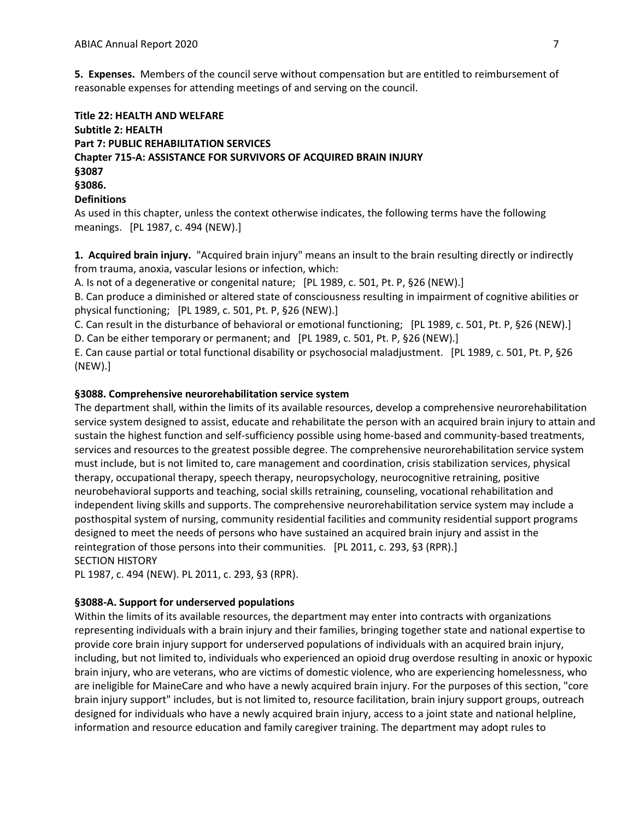5. Expenses. Members of the council serve without compensation but are entitled to reimbursement of reasonable expenses for attending meetings of and serving on the council.

### Title 22: HEALTH AND WELFARE Subtitle 2: HEALTH Part 7: PUBLIC REHABILITATION SERVICES Chapter 715-A: ASSISTANCE FOR SURVIVORS OF ACQUIRED BRAIN INJURY §3087 §3086. **Definitions**

As used in this chapter, unless the context otherwise indicates, the following terms have the following meanings. [PL 1987, c. 494 (NEW).]

1. Acquired brain injury. "Acquired brain injury" means an insult to the brain resulting directly or indirectly from trauma, anoxia, vascular lesions or infection, which:

A. Is not of a degenerative or congenital nature; [PL 1989, c. 501, Pt. P, §26 (NEW).]

B. Can produce a diminished or altered state of consciousness resulting in impairment of cognitive abilities or physical functioning; [PL 1989, c. 501, Pt. P, §26 (NEW).]

C. Can result in the disturbance of behavioral or emotional functioning; [PL 1989, c. 501, Pt. P, §26 (NEW).] D. Can be either temporary or permanent; and [PL 1989, c. 501, Pt. P, §26 (NEW).]

E. Can cause partial or total functional disability or psychosocial maladjustment. [PL 1989, c. 501, Pt. P, §26 (NEW).]

#### §3088. Comprehensive neurorehabilitation service system

The department shall, within the limits of its available resources, develop a comprehensive neurorehabilitation service system designed to assist, educate and rehabilitate the person with an acquired brain injury to attain and sustain the highest function and self-sufficiency possible using home-based and community-based treatments, services and resources to the greatest possible degree. The comprehensive neurorehabilitation service system must include, but is not limited to, care management and coordination, crisis stabilization services, physical therapy, occupational therapy, speech therapy, neuropsychology, neurocognitive retraining, positive neurobehavioral supports and teaching, social skills retraining, counseling, vocational rehabilitation and independent living skills and supports. The comprehensive neurorehabilitation service system may include a posthospital system of nursing, community residential facilities and community residential support programs designed to meet the needs of persons who have sustained an acquired brain injury and assist in the reintegration of those persons into their communities. [PL 2011, c. 293, §3 (RPR).] SECTION HISTORY

PL 1987, c. 494 (NEW). PL 2011, c. 293, §3 (RPR).

#### §3088-A. Support for underserved populations

Within the limits of its available resources, the department may enter into contracts with organizations representing individuals with a brain injury and their families, bringing together state and national expertise to provide core brain injury support for underserved populations of individuals with an acquired brain injury, including, but not limited to, individuals who experienced an opioid drug overdose resulting in anoxic or hypoxic brain injury, who are veterans, who are victims of domestic violence, who are experiencing homelessness, who are ineligible for MaineCare and who have a newly acquired brain injury. For the purposes of this section, "core brain injury support" includes, but is not limited to, resource facilitation, brain injury support groups, outreach designed for individuals who have a newly acquired brain injury, access to a joint state and national helpline, information and resource education and family caregiver training. The department may adopt rules to